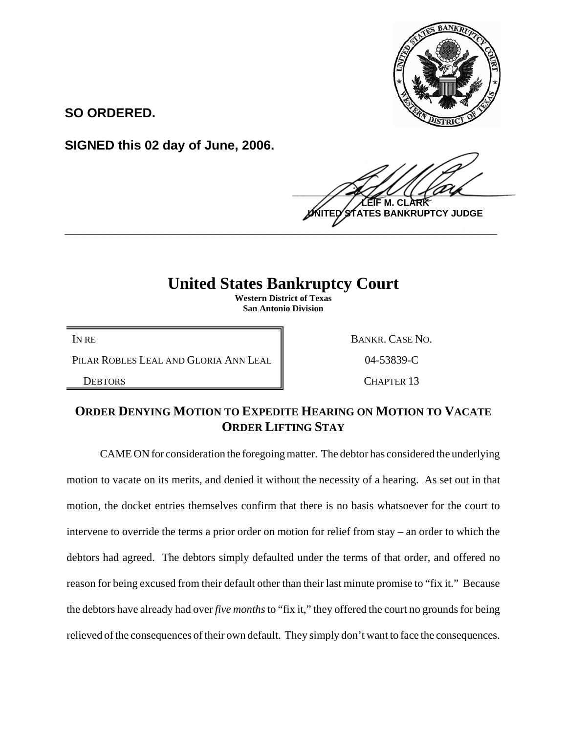

**SO ORDERED.**

**SIGNED this 02 day of June, 2006.**

 $\frac{1}{2}$ **LEIF M. CLARK BANKRUPTCY JUDGE \_\_\_\_\_\_\_\_\_\_\_\_\_\_\_\_\_\_\_\_\_\_\_\_\_\_\_\_\_\_\_\_\_\_\_\_\_\_\_\_\_\_\_\_\_\_\_\_\_\_\_\_\_\_\_\_\_\_\_\_**

## **United States Bankruptcy Court**

**Western District of Texas San Antonio Division**

PILAR ROBLES LEAL AND GLORIA ANN LEAL | 04-53839-C

IN RE BANKR. CASE NO.

DEBTORS CHAPTER 13

## **ORDER DENYING MOTION TO EXPEDITE HEARING ON MOTION TO VACATE ORDER LIFTING STAY**

CAME ON for consideration the foregoing matter. The debtor has considered the underlying motion to vacate on its merits, and denied it without the necessity of a hearing. As set out in that motion, the docket entries themselves confirm that there is no basis whatsoever for the court to intervene to override the terms a prior order on motion for relief from stay – an order to which the debtors had agreed. The debtors simply defaulted under the terms of that order, and offered no reason for being excused from their default other than their last minute promise to "fix it." Because the debtors have already had over *five months* to "fix it," they offered the court no grounds for being relieved of the consequences of their own default. They simply don't want to face the consequences.